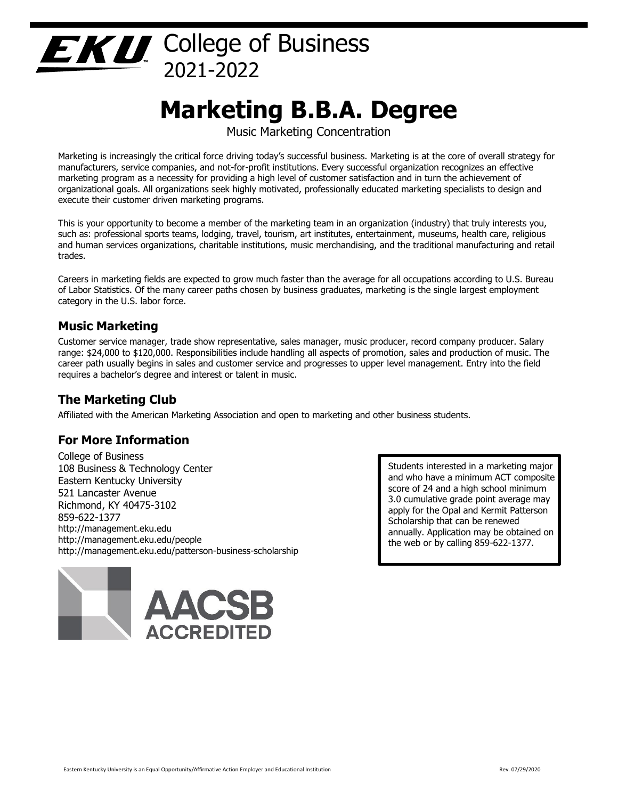# $E \times U$  College of Business 2021-2022

# **Marketing B.B.A. Degree**

Music Marketing Concentration

Marketing is increasingly the critical force driving today's successful business. Marketing is at the core of overall strategy for manufacturers, service companies, and not-for-profit institutions. Every successful organization recognizes an effective marketing program as a necessity for providing a high level of customer satisfaction and in turn the achievement of organizational goals. All organizations seek highly motivated, professionally educated marketing specialists to design and execute their customer driven marketing programs.

This is your opportunity to become a member of the marketing team in an organization (industry) that truly interests you, such as: professional sports teams, lodging, travel, tourism, art institutes, entertainment, museums, health care, religious and human services organizations, charitable institutions, music merchandising, and the traditional manufacturing and retail trades.

Careers in marketing fields are expected to grow much faster than the average for all occupations according to U.S. Bureau of Labor Statistics. Of the many career paths chosen by business graduates, marketing is the single largest employment category in the U.S. labor force.

# **Music Marketing**

Customer service manager, trade show representative, sales manager, music producer, record company producer. Salary range: \$24,000 to \$120,000. Responsibilities include handling all aspects of promotion, sales and production of music. The career path usually begins in sales and customer service and progresses to upper level management. Entry into the field requires a bachelor's degree and interest or talent in music.

## **The Marketing Club**

Affiliated with the American Marketing Association and open to marketing and other business students.

## **For More Information**

College of Business 108 Business & Technology Center Eastern Kentucky University 521 Lancaster Avenue Richmond, KY 40475-3102 859-622-1377 http://management.eku.edu http://management.eku.edu/people http://management.eku.edu/patterson-business-scholarship



Students interested in a marketing major and who have a minimum ACT composite score of 24 and a high school minimum 3.0 cumulative grade point average may apply for the Opal and Kermit Patterson Scholarship that can be renewed annually. Application may be obtained on the web or by calling 859-622-1377.